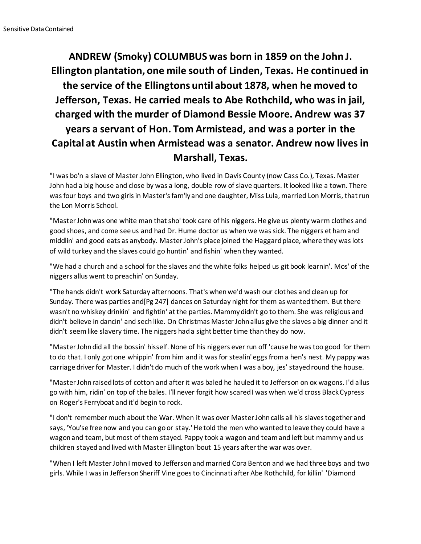## **ANDREW (Smoky) COLUMBUS was born in 1859 on the John J. Ellington plantation, one mile south of Linden, Texas. He continued in the service of the Ellingtons until about 1878, when he moved to Jefferson, Texas. He carried meals to Abe Rothchild, who was in jail, charged with the murder of Diamond Bessie Moore. Andrew was 37 years a servant of Hon. Tom Armistead, and was a porter in the Capital at Austin when Armistead was a senator. Andrew now lives in Marshall, Texas.**

"I was bo'n a slave of Master John Ellington, who lived in Davis County (now Cass Co.), Texas. Master John had a big house and close by was a long, double row of slave quarters. It looked like a town. There was four boys and two girls in Master's fam'ly and one daughter, Miss Lula, married Lon Morris, that run the Lon Morris School.

"Master John was one white man that sho' took care of his niggers. He give us plenty warm clothes and good shoes, and come see us and had Dr. Hume doctor us when we was sick. The niggers et ham and middlin' and good eats as anybody. Master John's place joined the Haggard place, where they was lots of wild turkey and the slaves could go huntin' and fishin' when they wanted.

"We had a church and a school for the slaves and the white folks helped us git book learnin'. Mos' of the niggers allus went to preachin' on Sunday.

"The hands didn't work Saturday afternoons. That's when we'd wash our clothes and clean up for Sunday. There was parties and[Pg 247] dances on Saturday night for them as wanted them. But there wasn't no whiskey drinkin' and fightin' at the parties. Mammy didn't go to them. She was religious and didn't believe in dancin' and sech like. On Christmas Master John allus give the slaves a big dinner and it didn't seem like slavery time. The niggers had a sight better time than they do now.

"Master John did all the bossin' hisself. None of his niggers ever run off 'cause he was too good for them to do that. I only got one whippin' from him and it was for stealin' eggs from a hen's nest. My pappy was carriage driver for Master. I didn't do much of the work when I was a boy, jes' stayed round the house.

"Master John raised lots of cotton and after it was baled he hauled it to Jefferson on ox wagons. I'd allus go with him, ridin' on top of the bales. I'll never forgit how scared I was when we'd cross Black Cypress on Roger's Ferryboat and it'd begin to rock.

"I don't remember much about the War. When it was over Master John calls all his slaves together and says, 'You'se free now and you can go or stay.' He told the men who wanted to leave they could have a wagon and team, but most of them stayed. Pappy took a wagon and team and left but mammy and us children stayed and lived with Master Ellington 'bout 15 years after the war was over.

"When I left Master John I moved to Jefferson and married Cora Benton and we had three boys and two girls. While I was in Jefferson Sheriff Vine goes to Cincinnati after Abe Rothchild, for killin' 'Diamond